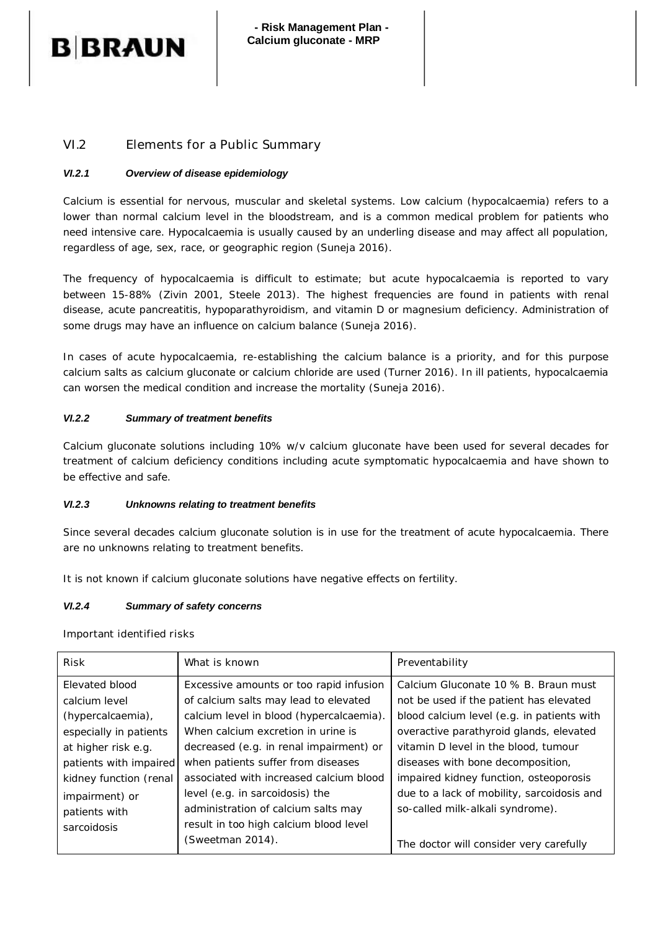# **B BRAUN**

## VI.2 Elements for a Public Summary

### *VI.2.1 Overview of disease epidemiology*

Calcium is essential for nervous, muscular and skeletal systems. Low calcium (hypocalcaemia) refers to a lower than normal calcium level in the bloodstream, and is a common medical problem for patients who need intensive care. Hypocalcaemia is usually caused by an underling disease and may affect all population, regardless of age, sex, race, or geographic region (Suneja 2016).

The frequency of hypocalcaemia is difficult to estimate; but acute hypocalcaemia is reported to vary between 15-88% (Zivin 2001, Steele 2013). The highest frequencies are found in patients with renal disease, acute pancreatitis, hypoparathyroidism, and vitamin D or magnesium deficiency. Administration of some drugs may have an influence on calcium balance (Suneja 2016).

In cases of acute hypocalcaemia, re-establishing the calcium balance is a priority, and for this purpose calcium salts as calcium gluconate or calcium chloride are used (Turner 2016). In ill patients, hypocalcaemia can worsen the medical condition and increase the mortality (Suneja 2016).

## *VI.2.2 Summary of treatment benefits*

Calcium gluconate solutions including 10% w/v calcium gluconate have been used for several decades for treatment of calcium deficiency conditions including acute symptomatic hypocalcaemia and have shown to be effective and safe.

### *VI.2.3 Unknowns relating to treatment benefits*

Since several decades calcium gluconate solution is in use for the treatment of acute hypocalcaemia. There are no unknowns relating to treatment benefits.

It is not known if calcium gluconate solutions have negative effects on fertility.

### *VI.2.4 Summary of safety concerns*

Important identified risks

| <b>Risk</b>            | What is known                            | Preventability                             |
|------------------------|------------------------------------------|--------------------------------------------|
| Elevated blood         | Excessive amounts or too rapid infusion  | Calcium Gluconate 10 % B. Braun must       |
| calcium level          | of calcium salts may lead to elevated    | not be used if the patient has elevated    |
| (hypercalcaemia),      | calcium level in blood (hypercalcaemia). | blood calcium level (e.g. in patients with |
| especially in patients | When calcium excretion in urine is       | overactive parathyroid glands, elevated    |
| at higher risk e.g.    | decreased (e.g. in renal impairment) or  | vitamin D level in the blood, tumour       |
| patients with impaired | when patients suffer from diseases       | diseases with bone decomposition,          |
| kidney function (renal | associated with increased calcium blood  | impaired kidney function, osteoporosis     |
| impairment) or         | level (e.g. in sarcoidosis) the          | due to a lack of mobility, sarcoidosis and |
| patients with          | administration of calcium salts may      | so-called milk-alkali syndrome).           |
| sarcoidosis            | result in too high calcium blood level   |                                            |
|                        | (Sweetman 2014).                         | The doctor will consider very carefully    |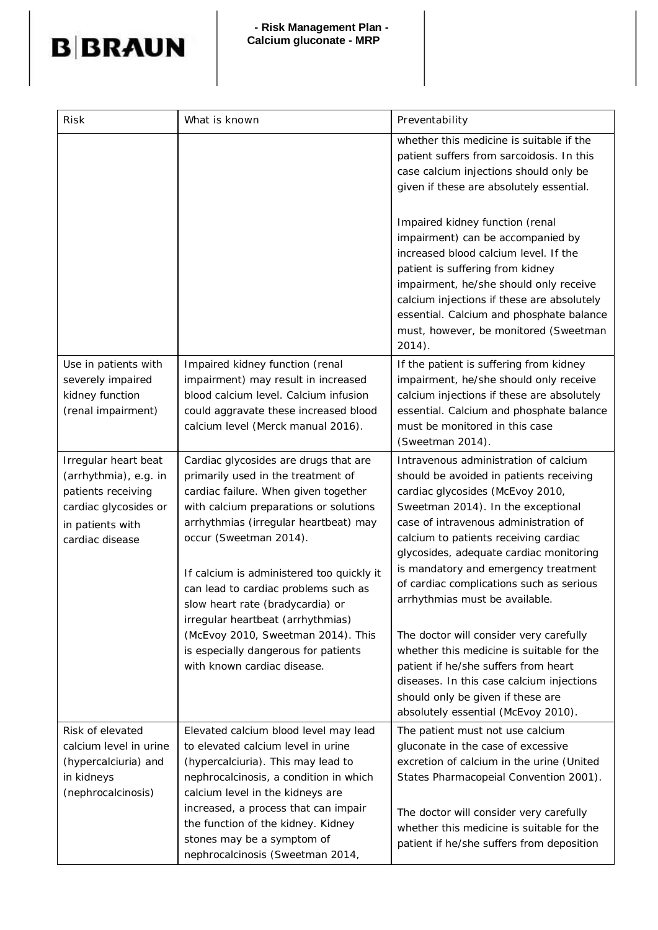

| <b>Risk</b>                                                                                                                         | What is known                                                                                                                                                                                                                                                                                                                                                                                  | Preventability                                                                                                                                                                                                                                                                                                                                                                                                |
|-------------------------------------------------------------------------------------------------------------------------------------|------------------------------------------------------------------------------------------------------------------------------------------------------------------------------------------------------------------------------------------------------------------------------------------------------------------------------------------------------------------------------------------------|---------------------------------------------------------------------------------------------------------------------------------------------------------------------------------------------------------------------------------------------------------------------------------------------------------------------------------------------------------------------------------------------------------------|
|                                                                                                                                     |                                                                                                                                                                                                                                                                                                                                                                                                | whether this medicine is suitable if the<br>patient suffers from sarcoidosis. In this<br>case calcium injections should only be<br>given if these are absolutely essential.                                                                                                                                                                                                                                   |
|                                                                                                                                     |                                                                                                                                                                                                                                                                                                                                                                                                | Impaired kidney function (renal<br>impairment) can be accompanied by<br>increased blood calcium level. If the<br>patient is suffering from kidney<br>impairment, he/she should only receive<br>calcium injections if these are absolutely<br>essential. Calcium and phosphate balance<br>must, however, be monitored (Sweetman<br>$2014$ ).                                                                   |
| Use in patients with<br>severely impaired<br>kidney function<br>(renal impairment)                                                  | Impaired kidney function (renal<br>impairment) may result in increased<br>blood calcium level. Calcium infusion<br>could aggravate these increased blood<br>calcium level (Merck manual 2016).                                                                                                                                                                                                 | If the patient is suffering from kidney<br>impairment, he/she should only receive<br>calcium injections if these are absolutely<br>essential. Calcium and phosphate balance<br>must be monitored in this case<br>(Sweetman 2014).                                                                                                                                                                             |
| Irregular heart beat<br>(arrhythmia), e.g. in<br>patients receiving<br>cardiac glycosides or<br>in patients with<br>cardiac disease | Cardiac glycosides are drugs that are<br>primarily used in the treatment of<br>cardiac failure. When given together<br>with calcium preparations or solutions<br>arrhythmias (irregular heartbeat) may<br>occur (Sweetman 2014).<br>If calcium is administered too quickly it<br>can lead to cardiac problems such as<br>slow heart rate (bradycardia) or<br>irregular heartbeat (arrhythmias) | Intravenous administration of calcium<br>should be avoided in patients receiving<br>cardiac glycosides (McEvoy 2010,<br>Sweetman 2014). In the exceptional<br>case of intravenous administration of<br>calcium to patients receiving cardiac<br>glycosides, adequate cardiac monitoring<br>is mandatory and emergency treatment<br>of cardiac complications such as serious<br>arrhythmias must be available. |
|                                                                                                                                     | (McEvoy 2010, Sweetman 2014). This<br>is especially dangerous for patients<br>with known cardiac disease.                                                                                                                                                                                                                                                                                      | The doctor will consider very carefully<br>whether this medicine is suitable for the<br>patient if he/she suffers from heart<br>diseases. In this case calcium injections<br>should only be given if these are<br>absolutely essential (McEvoy 2010).                                                                                                                                                         |
| Risk of elevated<br>calcium level in urine<br>(hypercalciuria) and<br>in kidneys<br>(nephrocalcinosis)                              | Elevated calcium blood level may lead<br>to elevated calcium level in urine<br>(hypercalciuria). This may lead to<br>nephrocalcinosis, a condition in which<br>calcium level in the kidneys are<br>increased, a process that can impair<br>the function of the kidney. Kidney<br>stones may be a symptom of<br>nephrocalcinosis (Sweetman 2014,                                                | The patient must not use calcium<br>gluconate in the case of excessive<br>excretion of calcium in the urine (United<br>States Pharmacopeial Convention 2001).<br>The doctor will consider very carefully<br>whether this medicine is suitable for the<br>patient if he/she suffers from deposition                                                                                                            |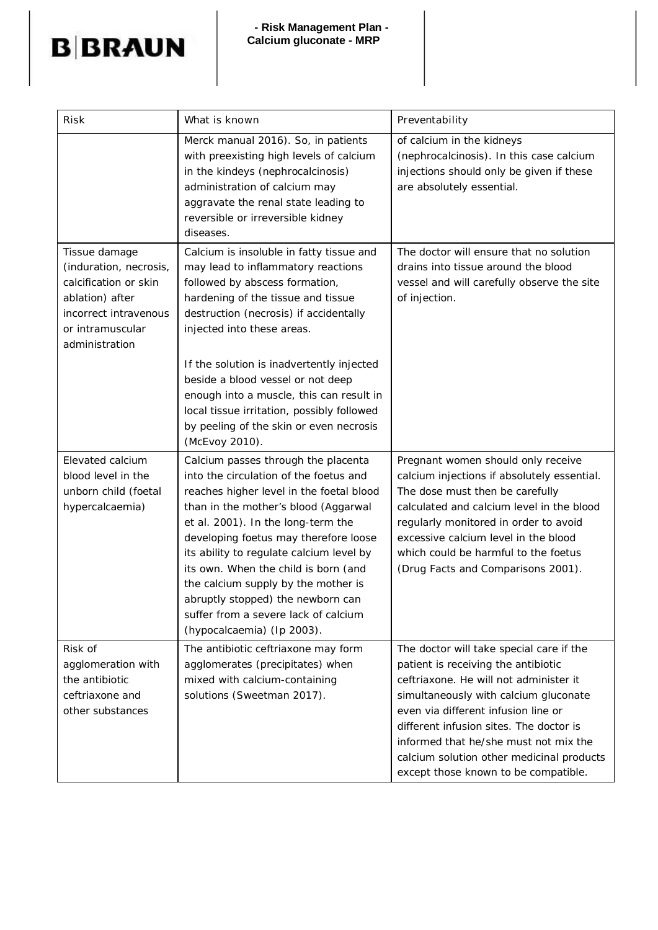# **B**BRAUN

| <b>Risk</b>                                                                                                                                        | What is known                                                                                                                                                                                                                                                                                                                                                                                                                                                                                            | Preventability                                                                                                                                                                                                                                                                                                                                                                     |
|----------------------------------------------------------------------------------------------------------------------------------------------------|----------------------------------------------------------------------------------------------------------------------------------------------------------------------------------------------------------------------------------------------------------------------------------------------------------------------------------------------------------------------------------------------------------------------------------------------------------------------------------------------------------|------------------------------------------------------------------------------------------------------------------------------------------------------------------------------------------------------------------------------------------------------------------------------------------------------------------------------------------------------------------------------------|
|                                                                                                                                                    | Merck manual 2016). So, in patients<br>with preexisting high levels of calcium<br>in the kindeys (nephrocalcinosis)<br>administration of calcium may<br>aggravate the renal state leading to<br>reversible or irreversible kidney<br>diseases.                                                                                                                                                                                                                                                           | of calcium in the kidneys<br>(nephrocalcinosis). In this case calcium<br>injections should only be given if these<br>are absolutely essential.                                                                                                                                                                                                                                     |
| Tissue damage<br>(induration, necrosis,<br>calcification or skin<br>ablation) after<br>incorrect intravenous<br>or intramuscular<br>administration | Calcium is insoluble in fatty tissue and<br>may lead to inflammatory reactions<br>followed by abscess formation,<br>hardening of the tissue and tissue<br>destruction (necrosis) if accidentally<br>injected into these areas.<br>If the solution is inadvertently injected<br>beside a blood vessel or not deep<br>enough into a muscle, this can result in<br>local tissue irritation, possibly followed<br>by peeling of the skin or even necrosis                                                    | The doctor will ensure that no solution<br>drains into tissue around the blood<br>vessel and will carefully observe the site<br>of injection.                                                                                                                                                                                                                                      |
| Elevated calcium<br>blood level in the<br>unborn child (foetal<br>hypercalcaemia)                                                                  | (McEvoy 2010).<br>Calcium passes through the placenta<br>into the circulation of the foetus and<br>reaches higher level in the foetal blood<br>than in the mother's blood (Aggarwal<br>et al. 2001). In the long-term the<br>developing foetus may therefore loose<br>its ability to regulate calcium level by<br>its own. When the child is born (and<br>the calcium supply by the mother is<br>abruptly stopped) the newborn can<br>suffer from a severe lack of calcium<br>(hypocalcaemia) (Ip 2003). | Pregnant women should only receive<br>calcium injections if absolutely essential.<br>The dose must then be carefully<br>calculated and calcium level in the blood<br>regularly monitored in order to avoid<br>excessive calcium level in the blood<br>which could be harmful to the foetus<br>(Drug Facts and Comparisons 2001).                                                   |
| Risk of<br>agglomeration with<br>the antibiotic<br>ceftriaxone and<br>other substances                                                             | The antibiotic ceftriaxone may form<br>agglomerates (precipitates) when<br>mixed with calcium-containing<br>solutions (Sweetman 2017).                                                                                                                                                                                                                                                                                                                                                                   | The doctor will take special care if the<br>patient is receiving the antibiotic<br>ceftriaxone. He will not administer it<br>simultaneously with calcium gluconate<br>even via different infusion line or<br>different infusion sites. The doctor is<br>informed that he/she must not mix the<br>calcium solution other medicinal products<br>except those known to be compatible. |